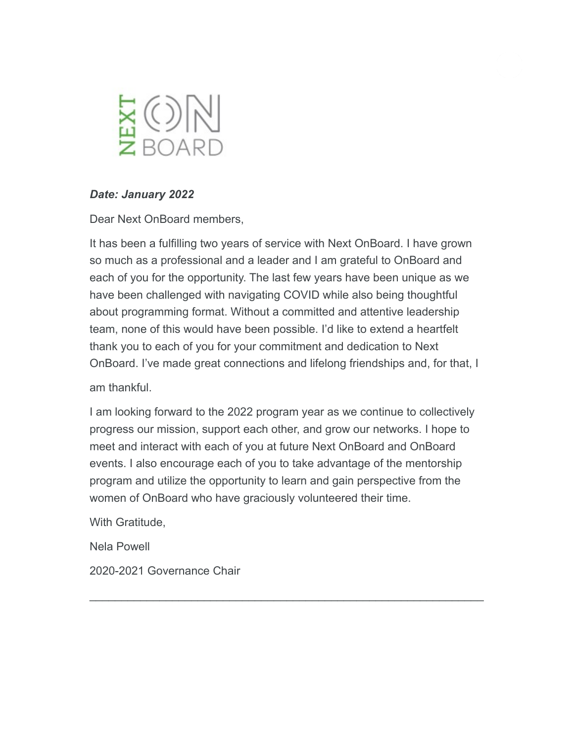

#### *Date: January 2022*

Dear Next OnBoard members,

It has been a fulfilling two years of service with Next OnBoard. I have grown so much as a professional and a leader and I am grateful to OnBoard and each of you for the opportunity. The last few years have been unique as we have been challenged with navigating COVID while also being thoughtful about programming format. Without a committed and attentive leadership team, none of this would have been possible. I'd like to extend a heartfelt thank you to each of you for your commitment and dedication to Next OnBoard. I've made great connections and lifelong friendships and, for that, I

am thankful.

I am looking forward to the 2022 program year as we continue to collectively progress our mission, support each other, and grow our networks. I hope to meet and interact with each of you at future Next OnBoard and OnBoard events. I also encourage each of you to take advantage of the mentorship program and utilize the opportunity to learn and gain perspective from the women of OnBoard who have graciously volunteered their time.

 $\_$  , and the contribution of the contribution of  $\mathcal{L}_\mathcal{A}$  , and the contribution of  $\mathcal{L}_\mathcal{A}$ 

With Gratitude,

Nela Powell

2020-2021 Governance Chair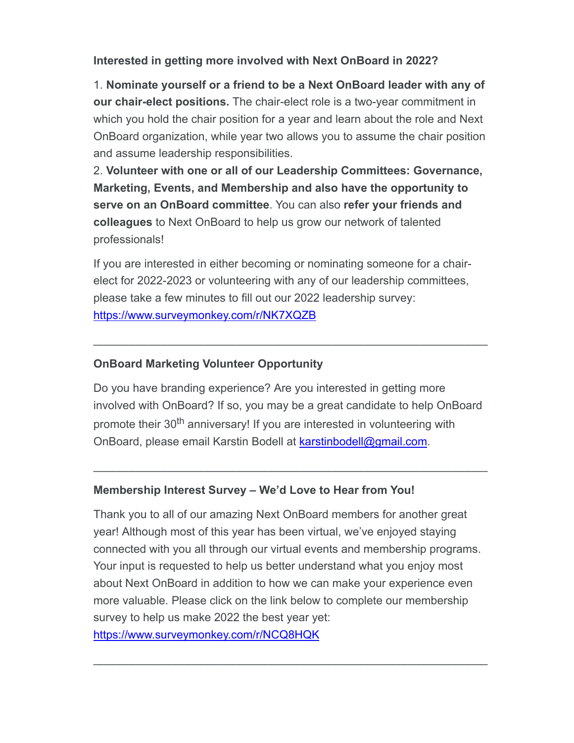### **Interested in getting more involved with Next OnBoard in 2022?**

1. **Nominate yourself or a friend to be a Next OnBoard leader with any of our chair-elect positions.** The chair-elect role is a two-year commitment in which you hold the chair position for a year and learn about the role and Next OnBoard organization, while year two allows you to assume the chair position and assume leadership responsibilities.

2. **Volunteer with one or all of our Leadership Committees: Governance, Marketing, Events, and Membership and also have the opportunity to serve on an OnBoard committee**. You can also **refer your friends and colleagues** to Next OnBoard to help us grow our network of talented professionals!

If you are interested in either becoming or nominating someone for a chairelect for 2022-2023 or volunteering with any of our leadership committees, please take a few minutes to fill out our 2022 leadership survey: https://www.surveymonkey.com/r/NK7XQZB

### **OnBoard Marketing Volunteer Opportunity**

Do you have branding experience? Are you interested in getting more involved with OnBoard? If so, you may be a great candidate to help OnBoard promote their 30<sup>th</sup> anniversary! If you are interested in volunteering with OnBoard, please email Karstin Bodell at karstinbodell@gmail.com.

 $\_$  , and the contribution of the contribution of  $\mathcal{L}_\mathcal{A}$  , and the contribution of  $\mathcal{L}_\mathcal{A}$ 

 $\_$  , and the contribution of the contribution of  $\mathcal{L}_\mathcal{A}$  , and the contribution of  $\mathcal{L}_\mathcal{A}$ 

#### **Membership Interest Survey – We'd Love to Hear from You!**

Thank you to all of our amazing Next OnBoard members for another great year! Although most of this year has been virtual, we've enjoyed staying connected with you all through our virtual events and membership programs. Your input is requested to help us better understand what you enjoy most about Next OnBoard in addition to how we can make your experience even more valuable. Please click on the link below to complete our membership survey to help us make 2022 the best year yet: https://www.surveymonkey.com/r/NCQ8HQK

\_\_\_\_\_\_\_\_\_\_\_\_\_\_\_\_\_\_\_\_\_\_\_\_\_\_\_\_\_\_\_\_\_\_\_\_\_\_\_\_\_\_\_\_\_\_\_\_\_\_\_\_\_\_\_\_\_\_\_\_\_\_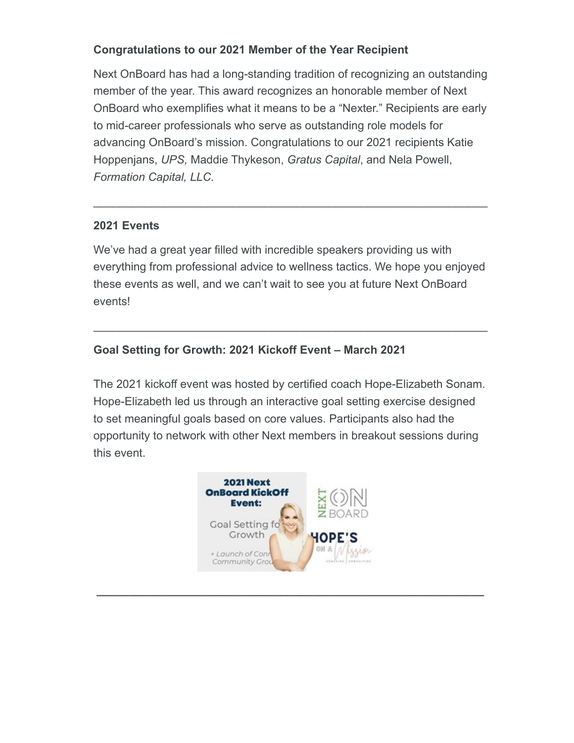# **Congratulations to our 2021 Member of the Year Recipient**

Next OnBoard has had a long-standing tradition of recognizing an outstanding member of the year. This award recognizes an honorable member of Next OnBoard who exemplifies what it means to be a "Nexter." Recipients are early to mid-career professionals who serve as outstanding role models for advancing OnBoard's mission. Congratulations to our 2021 recipients Katie Hoppenjans, *UPS,* Maddie Thykeson, *Gratus Capital*, and Nela Powell, *Formation Capital, LLC.*

### **2021 Events**

We've had a great year filled with incredible speakers providing us with everything from professional advice to wellness tactics. We hope you enjoyed these events as well, and we can't wait to see you at future Next OnBoard events!

 $\_$  , and the contribution of the contribution of  $\mathcal{L}_\mathcal{A}$  , and the contribution of  $\mathcal{L}_\mathcal{A}$ 

 $\_$  , and the contribution of the contribution of  $\mathcal{L}_\mathcal{A}$  , and the contribution of  $\mathcal{L}_\mathcal{A}$ 

# **Goal Setting for Growth: 2021 Kickoff Event – March 2021**

The 2021 kickoff event was hosted by certified coach Hope-Elizabeth Sonam. Hope-Elizabeth led us through an interactive goal setting exercise designed to set meaningful goals based on core values. Participants also had the opportunity to network with other Next members in breakout sessions during this event.



**\_\_\_\_\_\_\_\_\_\_\_\_\_\_\_\_\_\_\_\_\_\_\_\_\_\_\_\_\_\_\_\_\_\_\_\_\_\_\_\_\_\_\_\_\_\_\_\_\_\_\_\_\_\_\_\_\_\_\_\_\_**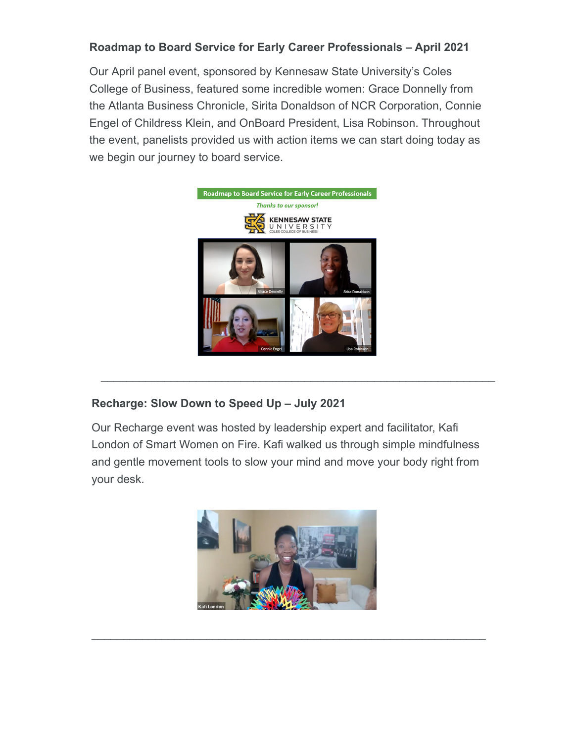### **Roadmap to Board Service for Early Career Professionals – April 2021**

Our April panel event, sponsored by Kennesaw State University's Coles College of Business, featured some incredible women: Grace Donnelly from the Atlanta Business Chronicle, Sirita Donaldson of NCR Corporation, Connie Engel of Childress Klein, and OnBoard President, Lisa Robinson. Throughout the event, panelists provided us with action items we can start doing today as we begin our journey to board service.



#### **Recharge: Slow Down to Speed Up – July 2021**

Our Recharge event was hosted by leadership expert and facilitator, Kafi London of Smart Women on Fire. Kafi walked us through simple mindfulness and gentle movement tools to slow your mind and move your body right from your desk.

 $\mathcal{L}_\text{max}$  , and the contribution of the contribution of the contribution of the contribution of the contribution of the contribution of the contribution of the contribution of the contribution of the contribution of t



 $\_$  , and the set of the set of the set of the set of the set of the set of the set of the set of the set of the set of the set of the set of the set of the set of the set of the set of the set of the set of the set of th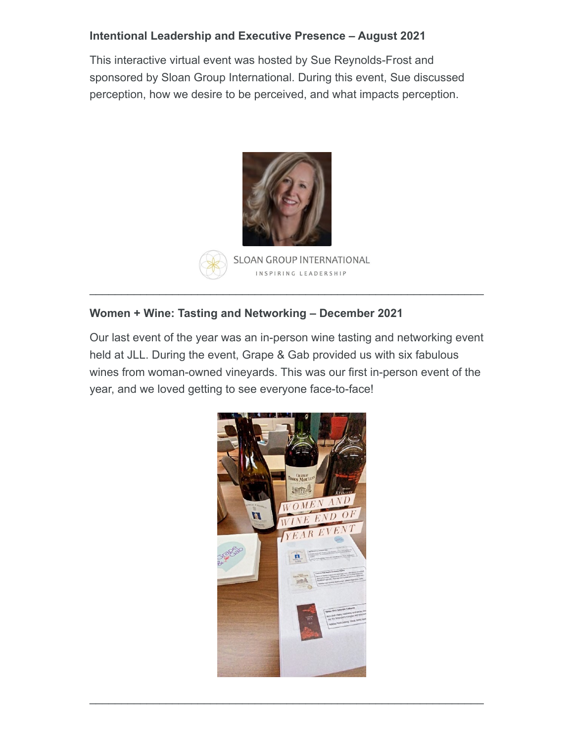### **Intentional Leadership and Executive Presence – August 2021**

This interactive virtual event was hosted by Sue Reynolds-Frost and sponsored by Sloan Group International. During this event, Sue discussed perception, how we desire to be perceived, and what impacts perception.



**SLOAN GROUP INTERNATIONAL** INSPIRING LEADERSHIP

 $\_$  , and the contribution of the contribution of  $\mathcal{L}_\mathcal{A}$  , and the contribution of  $\mathcal{L}_\mathcal{A}$ 

### **Women + Wine: Tasting and Networking – December 2021**

Our last event of the year was an in-person wine tasting and networking event held at JLL. During the event, Grape & Gab provided us with six fabulous wines from woman-owned vineyards. This was our first in-person event of the year, and we loved getting to see everyone face-to-face!



\_\_\_\_\_\_\_\_\_\_\_\_\_\_\_\_\_\_\_\_\_\_\_\_\_\_\_\_\_\_\_\_\_\_\_\_\_\_\_\_\_\_\_\_\_\_\_\_\_\_\_\_\_\_\_\_\_\_\_\_\_\_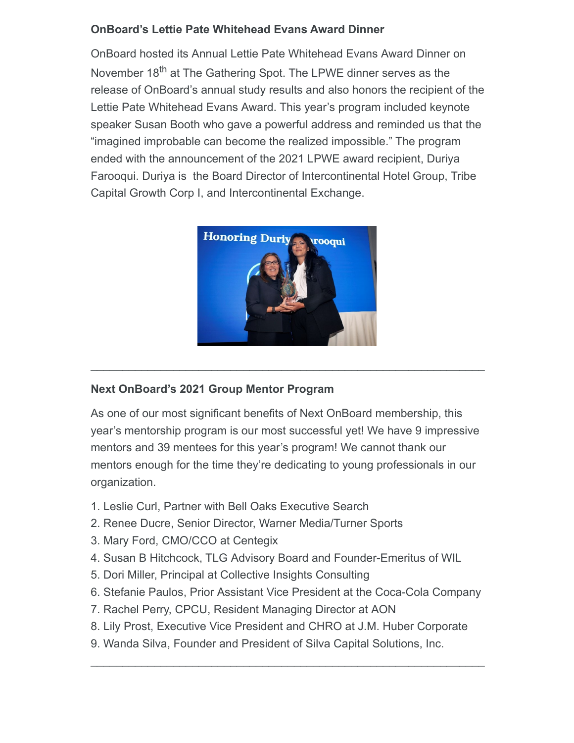# **OnBoard's Lettie Pate Whitehead Evans Award Dinner**

OnBoard hosted its Annual Lettie Pate Whitehead Evans Award Dinner on November 18<sup>th</sup> at The Gathering Spot. The LPWE dinner serves as the release of OnBoard's annual study results and also honors the recipient of the Lettie Pate Whitehead Evans Award. This year's program included keynote speaker Susan Booth who gave a powerful address and reminded us that the "imagined improbable can become the realized impossible." The program ended with the announcement of the 2021 LPWE award recipient, Duriya Farooqui. Duriya is the Board Director of Intercontinental Hotel Group, Tribe Capital Growth Corp I, and Intercontinental Exchange.



 $\mathcal{L}_\text{max}$  , and the contribution of the contribution of the contribution of the contribution of the contribution of the contribution of the contribution of the contribution of the contribution of the contribution of t

# **Next OnBoard's 2021 Group Mentor Program**

As one of our most significant benefits of Next OnBoard membership, this year's mentorship program is our most successful yet! We have 9 impressive mentors and 39 mentees for this year's program! We cannot thank our mentors enough for the time they're dedicating to young professionals in our organization.

- 1. Leslie Curl, Partner with Bell Oaks Executive Search
- 2. Renee Ducre, Senior Director, Warner Media/Turner Sports
- 3. Mary Ford, CMO/CCO at Centegix
- 4. Susan B Hitchcock, TLG Advisory Board and Founder-Emeritus of WIL
- 5. Dori Miller, Principal at Collective Insights Consulting
- 6. Stefanie Paulos, Prior Assistant Vice President at the Coca-Cola Company
- 7. Rachel Perry, CPCU, Resident Managing Director at AON
- 8. Lily Prost, Executive Vice President and CHRO at J.M. Huber Corporate

 $\mathcal{L}_\text{max}$  and  $\mathcal{L}_\text{max}$  and  $\mathcal{L}_\text{max}$  and  $\mathcal{L}_\text{max}$  and  $\mathcal{L}_\text{max}$  and  $\mathcal{L}_\text{max}$ 

9. Wanda Silva, Founder and President of Silva Capital Solutions, Inc.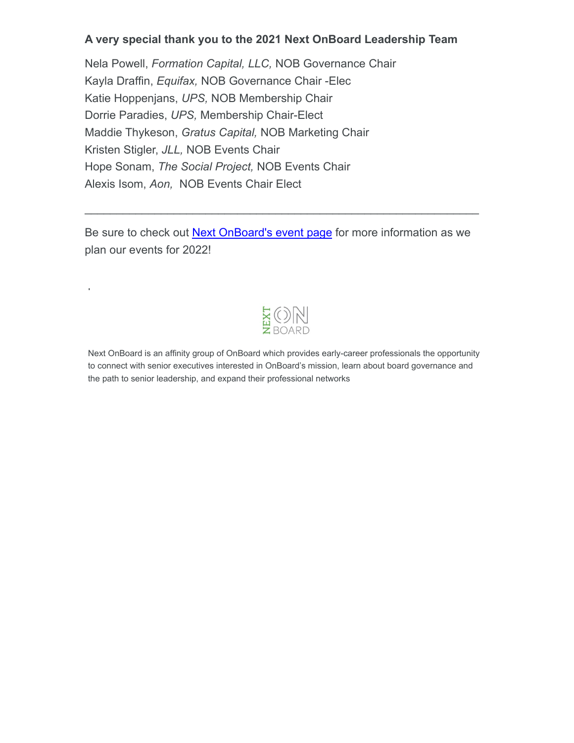#### **A very special thank you to the 2021 Next OnBoard Leadership Team**

Nela Powell, *Formation Capital, LLC,* NOB Governance Chair Kayla Draffin, *Equifax,* NOB Governance Chair -Elec Katie Hoppenjans, *UPS,* NOB Membership Chair Dorrie Paradies, *UPS,* Membership Chair-Elect Maddie Thykeson, *Gratus Capital,* NOB Marketing Chair Kristen Stigler, *JLL,* NOB Events Chair Hope Sonam, *The Social Project,* NOB Events Chair Alexis Isom, *Aon,* NOB Events Chair Elect

Be sure to check out Next OnBoard's event page for more information as we plan our events for 2022!

 $\mathcal{L}_\text{max}$  , and the contribution of the contribution of the contribution of the contribution of the contribution of the contribution of the contribution of the contribution of the contribution of the contribution of t

plan our events for 2022.



Next OnBoard is an affinity group of OnBoard which provides early-career professionals the opportunity to connect with senior executives interested in OnBoard's mission, learn about board governance and the path to senior leadership, and expand their professional networks